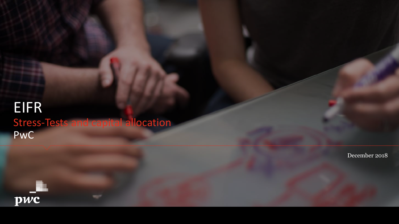## 50, avenue Pierre Mendès France - 75201 Paris Stress-Tests and capital allocation PwC EIFR

December 2018

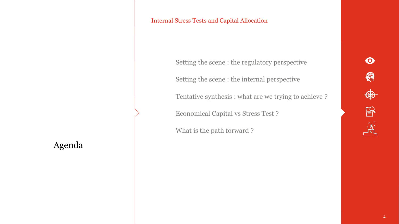### Agenda

#### Internal Stress Tests and Capital Allocation

Setting the scene : the regulatory perspective

Setting the scene : the internal perspective

Tentative synthesis : what are we trying to achieve ?

Economical Capital vs Stress Test ?

What is the path forward ?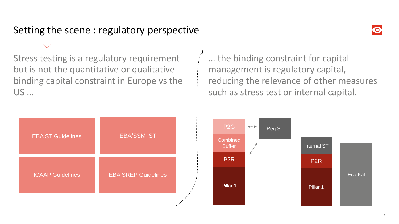

Stress testing is a regulatory requirement but is not the quantitative or qualitative binding capital constraint in Europe vs the US …

| <b>EBA ST Guidelines</b> | <b>EBA/SSM ST</b>          |
|--------------------------|----------------------------|
| <b>ICAAP Guidelines</b>  | <b>EBA SREP Guidelines</b> |

… the binding constraint for capital management is regulatory capital, reducing the relevance of other measures such as stress test or internal capital.

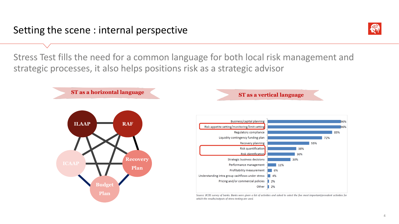

Stress Test fills the need for a common language for both local risk management and strategic processes, it also helps positions risk as a strategic advisor

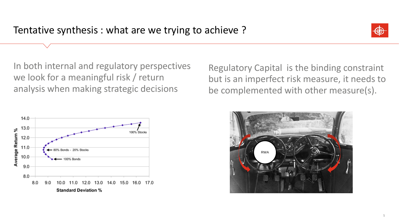

In both internal and regulatory perspectives we look for a meaningful risk / return analysis when making strategic decisions

Regulatory Capital is the binding constraint but is an imperfect risk measure, it needs to be complemented with other measure(s).



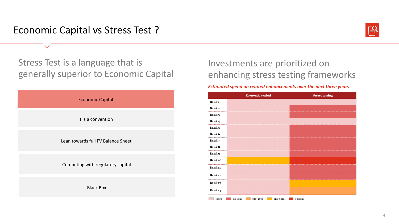Economic Capital vs Stress Test ?



Stress Test is a language that is generally superior to Economic Capital



## Investments are prioritized on enhancing stress testing frameworks

#### *Estimated spend on related enhancements over the next three years*

|                       | <b>Economic capital</b>         | <b>Stress testing</b> |
|-----------------------|---------------------------------|-----------------------|
| Bank <sub>1</sub><br> |                                 |                       |
| <b>Bank2</b><br>      |                                 |                       |
| <b>Bank 3</b>         |                                 |                       |
| Bank 4                |                                 |                       |
| Bank 5<br>            |                                 |                       |
| <b>Bank 6</b><br>     |                                 |                       |
| <b>Bank7</b><br>      |                                 |                       |
| <b>Bank 8</b><br>     |                                 |                       |
| <b>Bank 9</b>         |                                 |                       |
| <b>Bank</b> 10        |                                 |                       |
| <br><b>Bank 11</b>    |                                 |                       |
| Bank <sub>12</sub>    |                                 |                       |
| <b>Bank13</b>         |                                 |                       |
| <b>Bank 14</b>        |                                 |                       |
| $<$ \$5 $m$           | \$20-50m<br>\$5-10m<br>\$10-20m | $>\$5cm$              |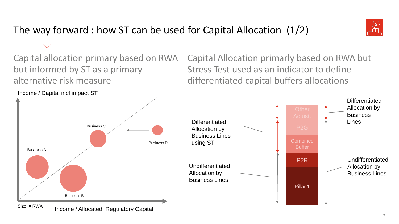

Capital allocation primary based on RWA but informed by ST as a primary alternative risk measure

Capital Allocation primarly based on RWA but Stress Test used as an indicator to define differentiated capital buffers allocations

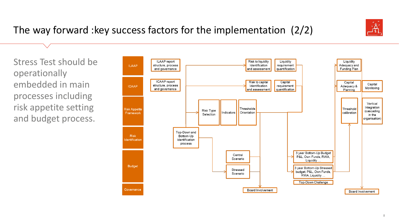

# The way forward :key success factors for the implementation (2/2)

Stress Test should be operationally embedded in main processes including risk appetite setting and budget process.